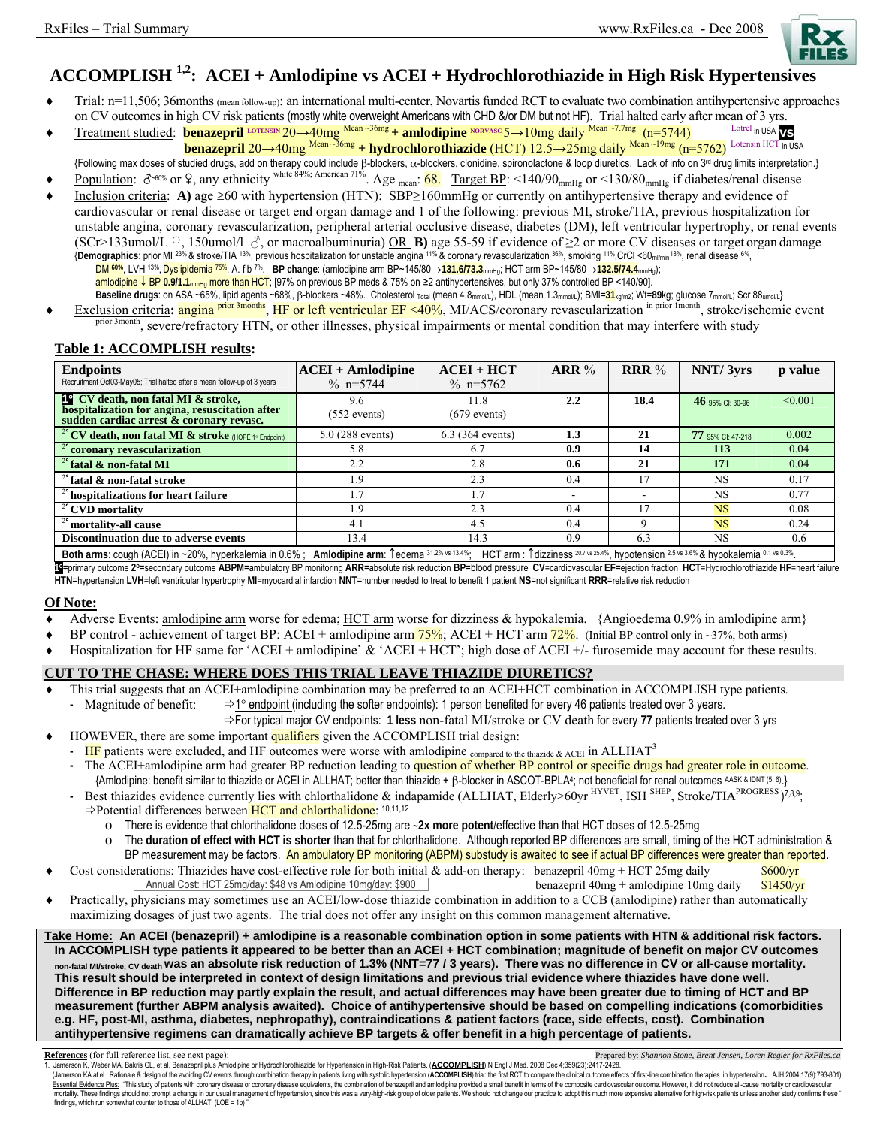

# **ACCOMPLISH 1,2: ACEI + Amlodipine vs ACEI + Hydrochlorothiazide in High Risk Hypertensives**

- ♦ Trial: n=11,506; 36months (mean follow-up); an international multi-center, Novartis funded RCT to evaluate two combination antihypertensive approaches
- on CV outcomes in high CV risk patients (mostly white overweight Americans with CHD &/or DM but not HF). Trial halted early after mean of 3 yrs.<br>Treatment studied: **henazenril <sup>LOTENSIN</sup> 20** 40mg <sup>Mean ~36mg</sup> + **amlodip** ♦ Treatment studied: **benazepril LOTENSIN** 20→40mg Mean ~36mg **+ amlodipine NORVASC** 5→10mg daily Mean ~7.7mg (n=5744) Lotrel in USA **vs benazepril** 20→40mg Mean ~36mg + **hydrochlorothiazide** (HCT) 12.5→25mg daily Mean~19mg (n=5762) Lotensin HCT in USA
- {Following max doses of studied drugs, add on therapy could include β-blockers, α-blockers, clonidine, spironolactone & loop diuretics. Lack of info on 3<sup>rd</sup> drug limits interpretation.}
- Population:  $\delta$ <sup>-60%</sup> or 9, any ethnicity white 84%; American 71%. Age <sub>mean</sub>: 68. Target BP: <140/90<sub>mmHg</sub> or <130/80<sub>mmHg</sub> if diabetes/renal disease
- ♦ Inclusion criteria: **A)** age ≥60 with hypertension (HTN): SBP≥160mmHg or currently on antihypertensive therapy and evidence of cardiovascular or renal disease or target end organ damage and 1 of the following: previous MI, stroke/TIA, previous hospitalization for unstable angina, coronary revascularization, peripheral arterial occlusive disease, diabetes (DM), left ventricular hypertrophy, or renal events (SCr>133umol/L  $\varphi$ , 150umol/l  $\varphi$ , or macroalbuminuria) OR **B**) age 55-59 if evidence of  $\geq$  or more CV diseases or target organ damage {**Demographics**: prior MI 23% & stroke/TIA 13%, previous hospitalization for unstable angina 11% & coronary revascularization 36%, smoking 11%,CrCl <60ml/min18%, renal disease 6%, DM **60%**, LVH 13%, Dyslipidemia 75%, A. fib 7%. **BP change**: (amlodipine arm BP~145/80→**131.6/73.3**mmHg; HCT arm BP~145/80→**132.5/74.4**mmHg); amlodipine ↓ BP 0.9/1.1<sub>mmHg</sub> more than HCT; [97% on previous BP meds & 75% on ≥2 antihypertensives, but only 37% controlled BP <140/90]. Baseline drugs: on ASA ~65%, lipid agents ~68%, β-blockers ~48%. Cholesterol <sub>Total</sub> (mean 4.8<sub>mmol/L</sub>), HDL (mean 1.3<sub>mmol/L</sub>); BMI=31<sub>kg/m2</sub>; Wt=89kg; glucose 7<sub>mmol/L</sub>; Scr 88<sub>umol/L</sub>}
- Exclusion criteria: **angina <sup>prior 3months</mark>, HF or left ventricular EF <40%**, MI/ACS/coronary revascularization <sup>in prior 1month</sup>, stroke/ischemic event</sup> <sup>nth</sup>, severe/refractory HTN, or other illnesses, physical impairments or mental condition that may interfere with study

## **Table 1: ACCOMPLISH results:**

| <b>Endpoints</b><br>Recruitment Oct03-May05; Trial halted after a mean follow-up of 3 years                                              | $ACEI + Amlodipine$<br>% $n=5744$ | $ACEI + HCT$<br>% $n=5762$ | ARR% | <b>RRR</b> $\%$ | NNT/3yrs          | p value |
|------------------------------------------------------------------------------------------------------------------------------------------|-----------------------------------|----------------------------|------|-----------------|-------------------|---------|
| <b>P</b> CV death, non fatal MI & stroke,<br>hospitalization for angina, resuscitation after<br>sudden cardiac arrest & coronary revasc. | 9.6<br>$(552$ events)             | 11.8<br>$(679$ events)     | 2.2  | 18.4            | 46 95% CI: 30-96  | < 0.001 |
| <sup>2°</sup> CV death, non fatal MI & stroke (HOPE 1° Endpoint)                                                                         | $5.0(288$ events)                 | $6.3$ (364 events)         | 1.3  | 21              | 77 95% CI: 47-218 | 0.002   |
| coronary revascularization                                                                                                               | 5.8                               | 6.7                        | 0.9  | 14              | 113               | 0.04    |
| $2^{\circ}$ fatal & non-fatal MI                                                                                                         | 2.2                               | 2.8                        | 0.6  | 21              | 171               | 0.04    |
| $^{2}$ fatal & non-fatal stroke                                                                                                          | $\cdot$ 9                         | 2.3                        | 0.4  | 17              | <b>NS</b>         | 0.17    |
| <sup>2</sup> hospitalizations for heart failure                                                                                          |                                   | 1.7                        |      |                 | NS.               | 0.77    |
| $\frac{1}{2}$ CVD mortality                                                                                                              | -9                                | 2.3                        | 0.4  |                 | <b>NS</b>         | 0.08    |
| <sup>2</sup> <sup><i>n</i></sup> mortality-all cause                                                                                     | 4.1                               | 4.5                        | 0.4  |                 | <b>NS</b>         | 0.24    |
| <b>Discontinuation due to adverse events</b>                                                                                             | 13.4                              | 14.3                       | 0.9  | 6.3             | <b>NS</b>         | 0.6     |
|                                                                                                                                          |                                   |                            |      |                 |                   |         |

**Both arms**: cough (ACEI) in ~20%, hyperkalemia in 0.6% ; **Amlodipine arm**: ↑edema 31.2% vs 13.4%; **HCT** arm : ↑dizziness 20.7 vs 25.4%, hypotension 2.5 vs 3.6% & hypokalemia 0.1 vs 0.3%. [C=primary outcome 2°=secondary outcome ABPM=ambulatory BP monitoring ARR=absolute risk reduction BP=blood pressure CV=cardiovascular EF=ejection fraction HCT=Hydrochlorothiazide HF=heart failure

**HTN**=hypertension **LVH**=left ventricular hypertrophy **MI**=myocardial infarction **NNT**=number needed to treat to benefit 1 patient **NS**=not significant **RRR**=relative risk reduction

### **Of Note:**

- Adverse Events: amlodipine arm worse for edema;  $HCT$  arm worse for dizziness & hypokalemia. {Angioedema 0.9% in amlodipine arm}
- BP control achievement of target BP: ACEI + amlodipine arm  $\frac{75\%}{6}$ ; ACEI + HCT arm  $\frac{72\%}{2}$ . (Initial BP control only in ~37%, both arms)
- Hospitalization for HF same for 'ACEI + amlodipine'  $\&$  'ACEI + HCT'; high dose of ACEI +/- furosemide may account for these results.

# **CUT TO THE CHASE: WHERE DOES THIS TRIAL LEAVE THIAZIDE DIURETICS?**

- This trial suggests that an ACEI+amlodipine combination may be preferred to an ACEI+HCT combination in ACCOMPLISH type patients.
	- **-** Magnitude of benefit: Ö1° endpoint (including the softer endpoints): 1 person benefited for every 46 patients treated over 3 years. ÖFor typical major CV endpoints: **1 less** non-fatal MI/stroke or CV death for every **77** patients treated over 3 yrs
- HOWEVER, there are some important qualifiers given the ACCOMPLISH trial design:
	- **HF** patients were excluded, and HF outcomes were worse with amlodipine compared to the thiazide & ACEI In ALLHAT<sup>3</sup>
	- **-** The ACEI+amlodipine arm had greater BP reduction leading to question of whether BP control or specific drugs had greater role in outcome.
	- {Amlodipine: benefit similar to thiazide or ACEI in ALLHAT; better than thiazide + β-blocker in ASCOT-BPLA4; not beneficial for renal outcomes AASK & IDNT (5, 6).} **-** Best thiazides evidence currently lies with chlorthalidone & indapamide (ALLHAT, Elderly>60yr HYVET, ISH SHEP, Stroke**/**TIAPROGRESS ) 7,8,9; ÖPotential differences between HCT and chlorthalidone: 10,11,12
		- o There is evidence that chlorthalidone doses of 12.5-25mg are **~2x more potent**/effective than that HCT doses of 12.5-25mg
		- o The **duration of effect with HCT is shorter** than that for chlorthalidone. Although reported BP differences are small, timing of the HCT administration & BP measurement may be factors. An ambulatory BP monitoring (ABPM) substudy is awaited to see if actual BP differences were greater than reported.
- Cost considerations: Thiazides have cost-effective role for both initial  $\&$  add-on therapy: benazepril 40mg + HCT 25mg daily  $\frac{\$600}{yr}$ benazepril 40mg + amlodipine 10mg daily  $$1450/yr$ Annual Cost: HCT 25mg/day: \$48 vs Amlodipine 10mg/day: \$900
- ♦ Practically, physicians may sometimes use an ACEI/low-dose thiazide combination in addition to a CCB (amlodipine) rather than automatically maximizing dosages of just two agents. The trial does not offer any insight on this common management alternative.

**Take Home: An ACEI (benazepril) + amlodipine is a reasonable combination option in some patients with HTN & additional risk factors. In ACCOMPLISH type patients it appeared to be better than an ACEI + HCT combination; magnitude of benefit on major CV outcomes non-fatal MI/stroke, CV death was an absolute risk reduction of 1.3% (NNT=77 / 3 years). There was no difference in CV or all-cause mortality. This result should be interpreted in context of design limitations and previous trial evidence where thiazides have done well. Difference in BP reduction may partly explain the result, and actual differences may have been greater due to timing of HCT and BP measurement (further ABPM analysis awaited). Choice of antihypertensive should be based on compelling indications (comorbidities e.g. HF, post-MI, asthma, diabetes, nephropathy), contraindications & patient factors (race, side effects, cost). Combination antihypertensive regimens can dramatically achieve BP targets & offer benefit in a high percentage of patients.** 

References (for full reference list, see next page):<br>1. Jamerson K, Weber MA, Bakris GL, et al. Benazepril plus Amlodipine or Hydrochlorothiazide for Hypertension in High-Risk Patients. (ACCOMPLISH) N Engl J Med. 2008 Dec (Jamerson KA at el. Rationale & design of the avoiding CV events through combination therapy in patients living with systolic hypertension (ACCOMPLISH) trial: the first RCT to compare the clinical outcome effects of first-Essential Evidence Plus: "This study of patients with coronary disease or coronary disease equivalents, the combination of benazepril and amlodipine provided a small benefit in terms of the composite cardiovascular outcome findings, which run somewhat counter to those of ALLHAT. (LOE = 1b)